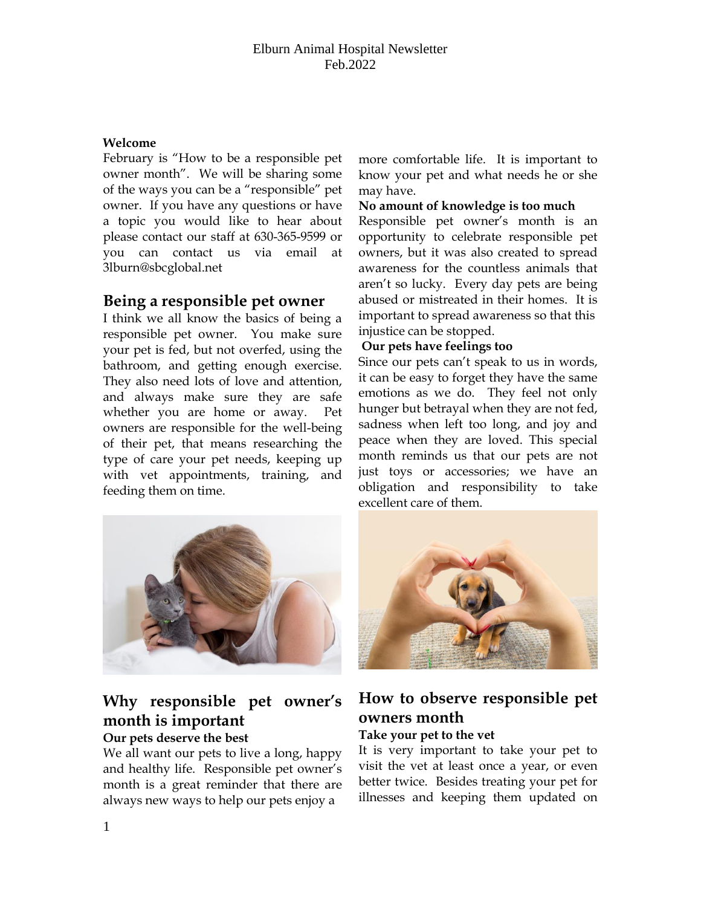### **Welcome**

February is "How to be a responsible pet owner month". We will be sharing some of the ways you can be a "responsible" pet owner. If you have any questions or have a topic you would like to hear about please contact our staff at 630-365-9599 or you can contact us via email at 3lburn@sbcglobal.net

## **Being a responsible pet owner**

I think we all know the basics of being a responsible pet owner. You make sure your pet is fed, but not overfed, using the bathroom, and getting enough exercise. They also need lots of love and attention, and always make sure they are safe whether you are home or away. Pet owners are responsible for the well-being of their pet, that means researching the type of care your pet needs, keeping up with vet appointments, training, and feeding them on time.

more comfortable life. It is important to know your pet and what needs he or she may have.

#### **No amount of knowledge is too much**

Responsible pet owner's month is an opportunity to celebrate responsible pet owners, but it was also created to spread awareness for the countless animals that aren't so lucky. Every day pets are being abused or mistreated in their homes. It is important to spread awareness so that this injustice can be stopped.

#### **Our pets have feelings too**

Since our pets can't speak to us in words, it can be easy to forget they have the same emotions as we do. They feel not only hunger but betrayal when they are not fed, sadness when left too long, and joy and peace when they are loved. This special month reminds us that our pets are not just toys or accessories; we have an obligation and responsibility to take excellent care of them.



## **Why responsible pet owner's month is important**

## **Our pets deserve the best**

We all want our pets to live a long, happy and healthy life. Responsible pet owner's month is a great reminder that there are always new ways to help our pets enjoy a



# **How to observe responsible pet owners month**

## **Take your pet to the vet**

It is very important to take your pet to visit the vet at least once a year, or even better twice. Besides treating your pet for illnesses and keeping them updated on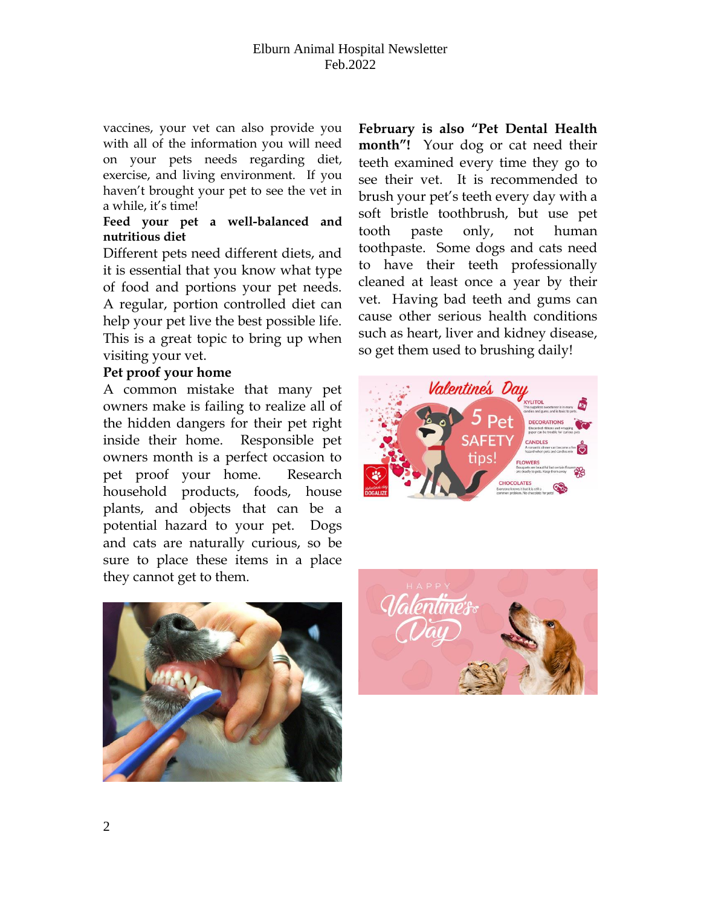vaccines, your vet can also provide you with all of the information you will need on your pets needs regarding diet, exercise, and living environment. If you haven't brought your pet to see the vet in a while, it's time!

### **Feed your pet a well-balanced and nutritious diet**

Different pets need different diets, and it is essential that you know what type of food and portions your pet needs. A regular, portion controlled diet can help your pet live the best possible life. This is a great topic to bring up when visiting your vet.

## **Pet proof your home**

A common mistake that many pet owners make is failing to realize all of the hidden dangers for their pet right inside their home. Responsible pet owners month is a perfect occasion to pet proof your home. Research household products, foods, house plants, and objects that can be a potential hazard to your pet. Dogs and cats are naturally curious, so be sure to place these items in a place they cannot get to them.

**February is also "Pet Dental Health month"!** Your dog or cat need their teeth examined every time they go to see their vet. It is recommended to brush your pet's teeth every day with a soft bristle toothbrush, but use pet tooth paste only, not human toothpaste. Some dogs and cats need to have their teeth professionally cleaned at least once a year by their vet. Having bad teeth and gums can cause other serious health conditions such as heart, liver and kidney disease, so get them used to brushing daily!